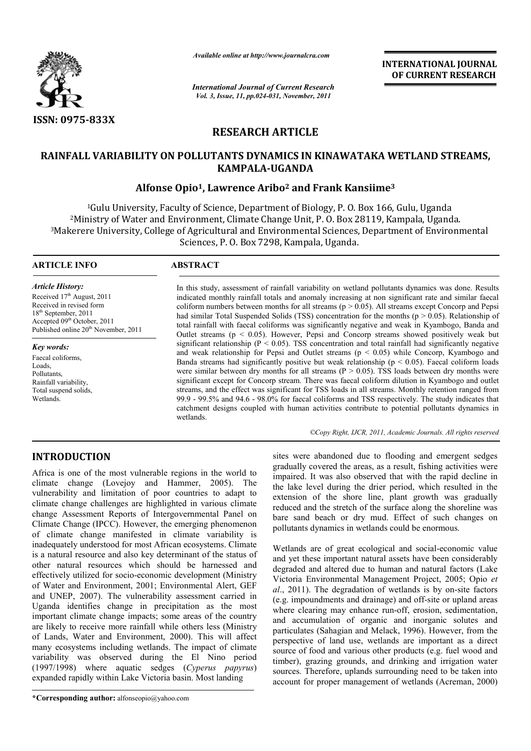

*Available online at http://www.journalcra.com*

*International Journal of Current Research Vol. 3, Issue, 11, pp.024-031, November, 2011*

**INTERNATIONAL JOURNAL OF CURRENT RESEARCH** 

# **RESEARCH ARTICLE**

# **RAINFALL VARIABILITY ON POLLUTANTS DYNAMICS IN KINAWATAKA WETLAND STREAMS, KAMPALA-UGANDA**

# **Alfonse Opio1, Lawrence Aribo2 and Frank Kansiime3**

1Gulu University, Faculty of Science, Department of Biology, P. O. Box 166, Gulu, Uganda 2Ministry of Water and Environment, Climate Change Unit, P. O. Box 28119, Kampala, Uganda. 3Makerere University, College of Agricultural and Environmental Sciences, Department of Environmental Sciences, P. O. Box 7298, Kampala, Uganda.

### **ARTICLE INFO ABSTRACT**

*Article History:* Received 17<sup>th</sup> August, 2011 Received in revised form 18th September, 2011 Accepted 09<sup>th</sup> October, 2011 Published online  $20<sup>th</sup>$  November, 2011

*Key words:* Faecal coliforms, Loads, **Pollutants** Rainfall variability, Total suspend solids, **Wetlands** 

In this study, assessment of rainfall variability on wetland pollutants dynamics was done. Results indicated monthly rainfall totals and anomaly increasing at non significant rate and similar faecal coliform numbers between months for all streams ( $p > 0.05$ ). All streams except Concorp and Pepsi had similar Total Suspended Solids (TSS) concentration for the months ( $p > 0.05$ ). Relationship of total rainfall with faecal coliforms was significantly negative and weak in Kyambogo, Banda and Outlet streams ( $p < 0.05$ ). However, Pepsi and Concorp streams showed positively weak but significant relationship ( $P < 0.05$ ). TSS concentration and total rainfall had significantly negative and weak relationship for Pepsi and Outlet streams ( $p < 0.05$ ) while Concorp, Kyambogo and Banda streams had significantly positive but weak relationship ( $p < 0.05$ ). Faecal coliform loads were similar between dry months for all streams ( $P > 0.05$ ). TSS loads between dry months were significant except for Concorp stream. There was faecal coliform dilution in Kyambogo and outlet streams, and the effect was significant for TSS loads in all streams. Monthly retention ranged from 99.9 - 99.5% and 94.6 - 98.0% for faecal coliforms and TSS respectively. The study indicates that catchment designs coupled with human activities contribute to potential pollutants dynamics in wetlands.

*©Copy Right, IJCR, 2011, Academic Journals. All rights reserved*

# **INTRODUCTION**

Africa is one of the most vulnerable regions in the world to climate change (Lovejoy and Hammer, 2005). The vulnerability and limitation of poor countries to adapt to climate change challenges are highlighted in various climate change Assessment Reports of Intergovernmental Panel on Climate Change (IPCC). However, the emerging phenomenon of climate change manifested in climate variability is inadequately understood for most African ecosystems. Climate is a natural resource and also key determinant of the status of other natural resources which should be harnessed and effectively utilized for socio-economic development (Ministry of Water and Environment, 2001; Environmental Alert, GEF and UNEP, 2007). The vulnerability assessment carried in Uganda identifies change in precipitation as the most important climate change impacts; some areas of the country are likely to receive more rainfall while others less (Ministry of Lands, Water and Environment, 2000). This will affect many ecosystems including wetlands. The impact of climate variability was observed during the El Nino period (1997/1998) where aquatic sedges (*Cyperus papyrus*) expanded rapidly within Lake Victoria basin. Most landing

**\*Corresponding author:** alfonseopio@yahoo.com

sites were abandoned due to flooding and emergent sedges gradually covered the areas, as a result, fishing activities were impaired. It was also observed that with the rapid decline in the lake level during the drier period, which resulted in the extension of the shore line, plant growth was gradually reduced and the stretch of the surface along the shoreline was bare sand beach or dry mud. Effect of such changes on pollutants dynamics in wetlands could be enormous.

Wetlands are of great ecological and social-economic value and yet these important natural assets have been considerably degraded and altered due to human and natural factors (Lake Victoria Environmental Management Project, 2005; Opio *et al*., 2011). The degradation of wetlands is by on-site factors (e.g. impoundments and drainage) and off-site or upland areas where clearing may enhance run-off, erosion, sedimentation, and accumulation of organic and inorganic solutes and particulates (Sahagian and Melack, 1996). However, from the perspective of land use, wetlands are important as a direct source of food and various other products (e.g. fuel wood and timber), grazing grounds, and drinking and irrigation water sources. Therefore, uplands surrounding need to be taken into account for proper management of wetlands (Acreman, 2000)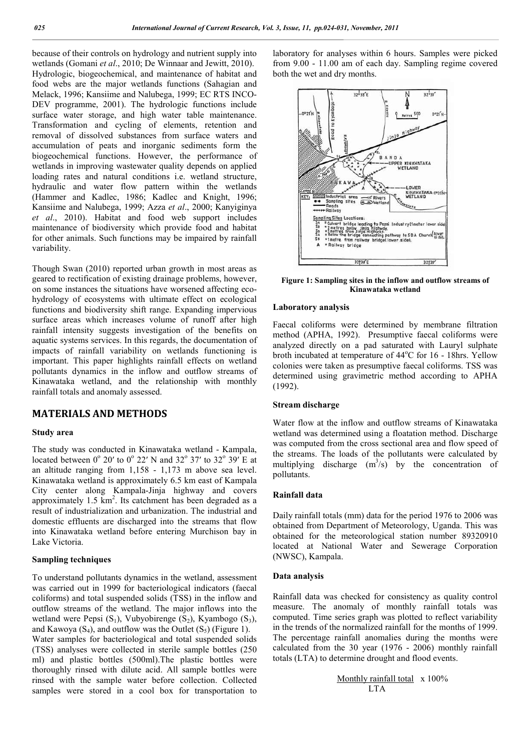because of their controls on hydrology and nutrient supply into wetlands (Gomani *et al*., 2010; De Winnaar and Jewitt, 2010). Hydrologic, biogeochemical, and maintenance of habitat and food webs are the major wetlands functions (Sahagian and Melack, 1996; Kansiime and Nalubega, 1999; EC RTS INCO-DEV programme, 2001). The hydrologic functions include surface water storage, and high water table maintenance. Transformation and cycling of elements, retention and removal of dissolved substances from surface waters and accumulation of peats and inorganic sediments form the biogeochemical functions. However, the performance of wetlands in improving wastewater quality depends on applied loading rates and natural conditions i.e. wetland structure, hydraulic and water flow pattern within the wetlands (Hammer and Kadlec, 1986; Kadlec and Knight, 1996; Kansiime and Nalubega, 1999; Azza *et al*., 2000; Kanyiginya *et al*., 2010). Habitat and food web support includes maintenance of biodiversity which provide food and habitat for other animals. Such functions may be impaired by rainfall variability.

Though Swan (2010) reported urban growth in most areas as geared to rectification of existing drainage problems, however, on some instances the situations have worsened affecting ecohydrology of ecosystems with ultimate effect on ecological functions and biodiversity shift range. Expanding impervious surface areas which increases volume of runoff after high rainfall intensity suggests investigation of the benefits on aquatic systems services. In this regards, the documentation of impacts of rainfall variability on wetlands functioning is important. This paper highlights rainfall effects on wetland pollutants dynamics in the inflow and outflow streams of Kinawataka wetland, and the relationship with monthly rainfall totals and anomaly assessed.

# **MATERIALS AND METHODS**

#### **Study area**

The study was conducted in Kinawataka wetland - Kampala, located between  $0^{\circ}$  20' to  $0^{\circ}$  22' N and 32 $^{\circ}$  37' to 32 $^{\circ}$  39' E at an altitude ranging from 1,158 - 1,173 m above sea level. Kinawataka wetland is approximately 6.5 km east of Kampala City center along Kampala-Jinja highway and covers approximately  $1.5 \text{ km}^2$ . Its catchment has been degraded as a result of industrialization and urbanization. The industrial and domestic effluents are discharged into the streams that flow into Kinawataka wetland before entering Murchison bay in Lake Victoria.

#### **Sampling techniques**

To understand pollutants dynamics in the wetland, assessment was carried out in 1999 for bacteriological indicators (faecal coliforms) and total suspended solids (TSS) in the inflow and outflow streams of the wetland. The major inflows into the wetland were Pepsi  $(S_1)$ , Vubyobirenge  $(S_2)$ , Kyambogo  $(S_3)$ , and Kawoya  $(S_4)$ , and outflow was the Outlet  $(S_5)$  (Figure 1).

Water samples for bacteriological and total suspended solids (TSS) analyses were collected in sterile sample bottles (250 ml) and plastic bottles (500ml).The plastic bottles were thoroughly rinsed with dilute acid. All sample bottles were rinsed with the sample water before collection. Collected samples were stored in a cool box for transportation to laboratory for analyses within 6 hours. Samples were picked from 9.00 - 11.00 am of each day. Sampling regime covered both the wet and dry months.



**Figure 1: Sampling sites in the inflow and outflow streams of Kinawataka wetland**

#### **Laboratory analysis**

Faecal coliforms were determined by membrane filtration method (APHA, 1992). Presumptive faecal coliforms were analyzed directly on a pad saturated with Lauryl sulphate broth incubated at temperature of 44°C for 16 - 18hrs. Yellow colonies were taken as presumptive faecal coliforms. TSS was determined using gravimetric method according to APHA (1992).

#### **Stream discharge**

Water flow at the inflow and outflow streams of Kinawataka wetland was determined using a floatation method. Discharge was computed from the cross sectional area and flow speed of the streams. The loads of the pollutants were calculated by multiplying discharge  $(m^3/s)$  by the concentration of pollutants.

#### **Rainfall data**

Daily rainfall totals (mm) data for the period 1976 to 2006 was obtained from Department of Meteorology, Uganda. This was obtained for the meteorological station number 89320910 located at National Water and Sewerage Corporation (NWSC), Kampala.

#### **Data analysis**

Rainfall data was checked for consistency as quality control measure. The anomaly of monthly rainfall totals was computed. Time series graph was plotted to reflect variability in the trends of the normalized rainfall for the months of 1999. The percentage rainfall anomalies during the months were calculated from the 30 year (1976 - 2006) monthly rainfall totals (LTA) to determine drought and flood events.

> Monthly rainfall total x 100% **LTA**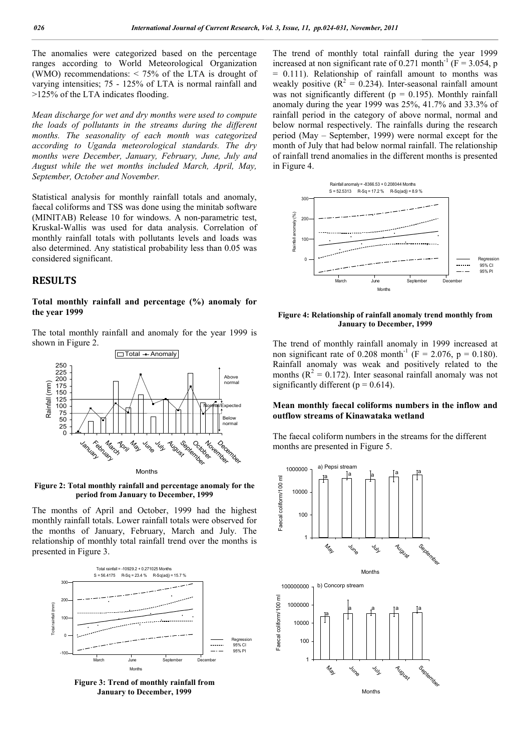The anomalies were categorized based on the percentage ranges according to World Meteorological Organization (WMO) recommendations: < 75% of the LTA is drought of varying intensities; 75 - 125% of LTA is normal rainfall and >125% of the LTA indicates flooding.

*Mean discharge for wet and dry months were used to compute the loads of pollutants in the streams during the different months. The seasonality of each month was categorized according to Uganda meteorological standards. The dry months were December, January, February, June, July and August while the wet months included March, April, May, September, October and November.*

Statistical analysis for monthly rainfall totals and anomaly, faecal coliforms and TSS was done using the minitab software (MINITAB) Release 10 for windows. A non-parametric test, Kruskal-Wallis was used for data analysis. Correlation of monthly rainfall totals with pollutants levels and loads was also determined. Any statistical probability less than 0.05 was considered significant.

# **RESULTS**

#### **Total monthly rainfall and percentage (%) anomaly for the year 1999**

The total monthly rainfall and anomaly for the year 1999 is shown in Figure 2.



Months

**Figure 2: Total monthly rainfall and percentage anomaly for the period from January to December, 1999**

The months of April and October, 1999 had the highest monthly rainfall totals. Lower rainfall totals were observed for the months of January, February, March and July. The relationship of monthly total rainfall trend over the months is presented in Figure 3.





The trend of monthly total rainfall during the year 1999 increased at non significant rate of 0.271 month<sup>-1</sup> ( $F = 3.054$ , p  $= 0.111$ ). Relationship of rainfall amount to months was weakly positive  $(R^2 = 0.234)$ . Inter-seasonal rainfall amount was not significantly different ( $p = 0.195$ ). Monthly rainfall anomaly during the year 1999 was 25%, 41.7% and 33.3% of rainfall period in the category of above normal, normal and below normal respectively. The rainfalls during the research period (May – September, 1999) were normal except for the month of July that had below normal rainfall. The relationship of rainfall trend anomalies in the different months is presented in Figure 4.



#### **Figure 4: Relationship of rainfall anomaly trend monthly from January to December, 1999**

The trend of monthly rainfall anomaly in 1999 increased at non significant rate of 0.208 month<sup>-1</sup> (F = 2.076, p = 0.180). Rainfall anomaly was weak and positively related to the months ( $R^2 = 0.172$ ). Inter seasonal rainfall anomaly was not significantly different ( $p = 0.614$ ).

## **Mean monthly faecal coliforms numbers in the inflow and outflow streams of Kinawataka wetland**

The faecal coliform numbers in the streams for the different months are presented in Figure 5.

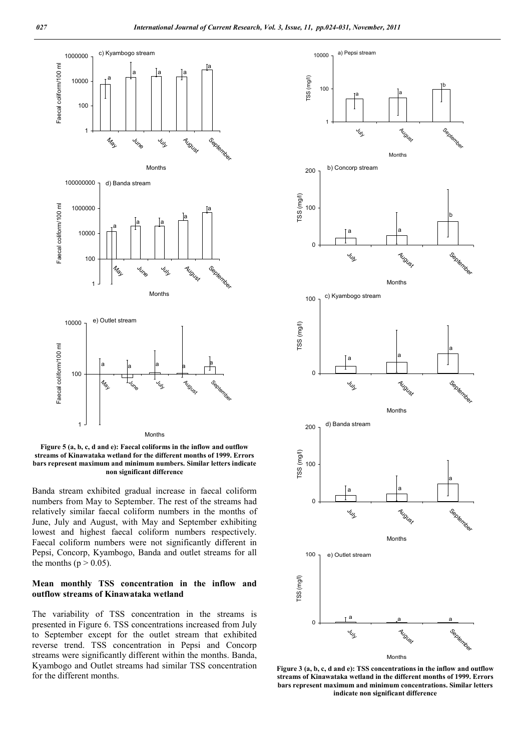

**Figure 5 (a, b, c, d and e): Faecal coliforms in the inflow and outflow streams of Kinawataka wetland for the different months of 1999. Errors bars represent maximum and minimum numbers. Similar letters indicate non significant difference**

Banda stream exhibited gradual increase in faecal coliform numbers from May to September. The rest of the streams had relatively similar faecal coliform numbers in the months of June, July and August, with May and September exhibiting lowest and highest faecal coliform numbers respectively. Faecal coliform numbers were not significantly different in Pepsi, Concorp, Kyambogo, Banda and outlet streams for all the months ( $p > 0.05$ ).

# **Mean monthly TSS concentration in the inflow and outflow streams of Kinawataka wetland**

The variability of TSS concentration in the streams is presented in Figure 6. TSS concentrations increased from July to September except for the outlet stream that exhibited reverse trend. TSS concentration in Pepsi and Concorp streams were significantly different within the months. Banda, Kyambogo and Outlet streams had similar TSS concentration for the different months.



**Figure 3 (a, b, c, d and e): TSS concentrations in the inflow and outflow streams of Kinawataka wetland in the different months of 1999. Errors bars represent maximum and minimum concentrations. Similar letters indicate non significant difference**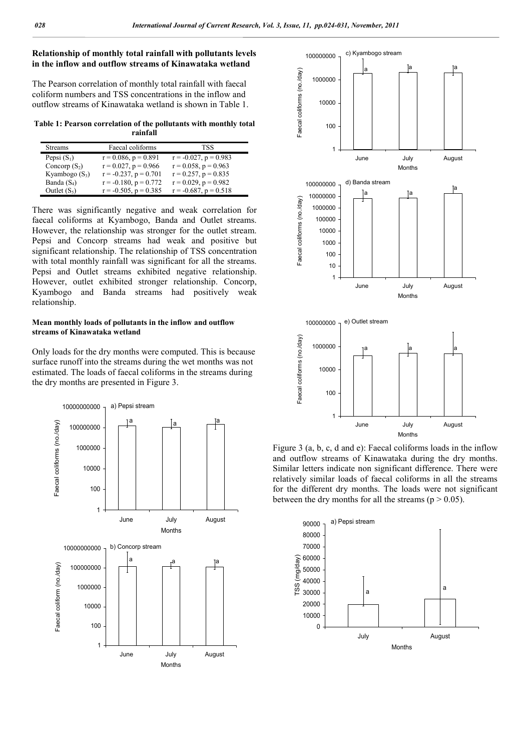# **Relationship of monthly total rainfall with pollutants levels in the inflow and outflow streams of Kinawataka wetland**

The Pearson correlation of monthly total rainfall with faecal coliform numbers and TSS concentrations in the inflow and outflow streams of Kinawataka wetland is shown in Table 1.

**Table 1: Pearson correlation of the pollutants with monthly total rainfall**

| <b>Streams</b>   | Faecal coliforms           | TSS.                       |
|------------------|----------------------------|----------------------------|
| Pepsi $(S_1)$    | $r = 0.086$ , $p = 0.891$  | $r = -0.027$ , $p = 0.983$ |
| Concorp $(S_2)$  | $r = 0.027$ , $p = 0.966$  | $r = 0.058$ , $p = 0.963$  |
| Kyambogo $(S_3)$ | $r = -0.237$ , $p = 0.701$ | $r = 0.257$ , $p = 0.835$  |
| Banda $(S_4)$    | $r = -0.180$ , $p = 0.772$ | $r = 0.029$ , $p = 0.982$  |
| Outlet $(S_5)$   | $r = -0.505$ , $p = 0.385$ | $r = -0.687$ , $p = 0.518$ |

There was significantly negative and weak correlation for faecal coliforms at Kyambogo, Banda and Outlet streams. However, the relationship was stronger for the outlet stream. Pepsi and Concorp streams had weak and positive but significant relationship. The relationship of TSS concentration with total monthly rainfall was significant for all the streams. Pepsi and Outlet streams exhibited negative relationship. However, outlet exhibited stronger relationship. Concorp, Kyambogo and Banda streams had positively weak relationship.

#### **Mean monthly loads of pollutants in the inflow and outflow streams of Kinawataka wetland**

Only loads for the dry months were computed. This is because surface runoff into the streams during the wet months was not estimated. The loads of faecal coliforms in the streams during the dry months are presented in Figure 3.





Figure 3 (a, b, c, d and e): Faecal coliforms loads in the inflow and outflow streams of Kinawataka during the dry months. Similar letters indicate non significant difference. There were relatively similar loads of faecal coliforms in all the streams for the different dry months. The loads were not significant between the dry months for all the streams ( $p > 0.05$ ).

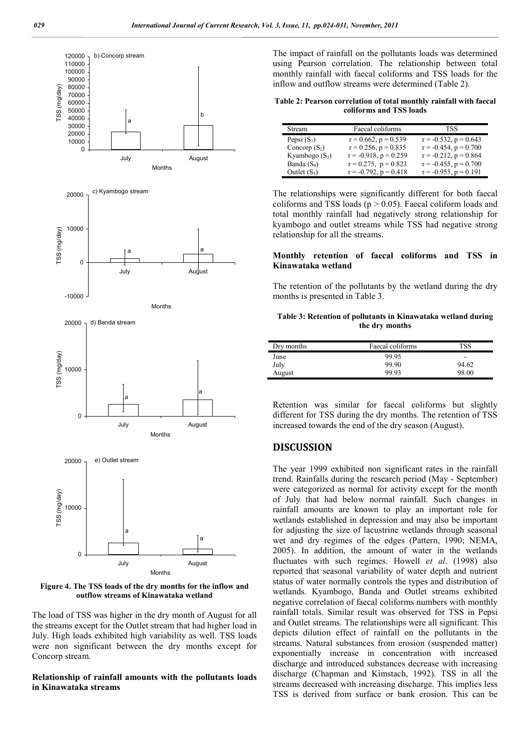

**Figure 4. The TSS loads of the dry months for the inflow and outflow streams of Kinawataka wetland** 

The load of TSS was higher in the dry month of August for all the streams except for the Outlet stream that had higher load in July. High loads exhibited high variability as well. TSS loads were non significant between the dry months except for Concorp stream.

# **Relationship of rainfall amounts with the pollutants loads in Kinawataka streams**

The impact of rainfall on the pollutants loads was determined using Pearson correlation. The relationship between total monthly rainfall with faecal coliforms and TSS loads for the inflow and outflow streams were determined (Table 2).

| Table 2: Pearson correlation of total monthly rainfall with faecal |  |
|--------------------------------------------------------------------|--|
| coliforms and TSS loads                                            |  |

| Stream           | Faecal coliforms           | <b>TSS</b>                 |
|------------------|----------------------------|----------------------------|
| Pepsi $(S_1)$    | $r = 0.662$ , $p = 0.539$  | $r = -0.532$ , $p = 0.643$ |
| Concorp $(S_2)$  | $r = 0.256$ , $p = 0.835$  | $r = -0.454$ , $p = 0.700$ |
| Kyambogo $(S_3)$ | $r = -0.918$ , $p = 0.259$ | $r = -0.212$ , $p = 0.864$ |
| Banda $(S_4)$    | $r = 0.275$ , $p = 0.823$  | $r = -0.455$ , $p = 0.700$ |
| Outlet $(S_5)$   | $r = -0.792$ , $p = 0.418$ | $r = -0.955$ , $p = 0.191$ |

The relationships were significantly different for both faecal coliforms and TSS loads ( $p > 0.05$ ). Faecal coliform loads and total monthly rainfall had negatively strong relationship for kyambogo and outlet streams while TSS had negative strong relationship for all the streams.

### **Monthly retention of faecal coliforms and TSS in Kinawataka wetland**

The retention of the pollutants by the wetland during the dry months is presented in Table 3.

#### **Table 3: Retention of pollutants in Kinawataka wetland during the dry months**

| Dry months | Faecal coliforms | TSS                      |
|------------|------------------|--------------------------|
| June       | 99.95            | $\overline{\phantom{a}}$ |
| July       | 99.90            | 94.62                    |
| August     | 99.93            | 98.00                    |

Retention was similar for faecal coliforms but slightly different for TSS during the dry months. The retention of TSS increased towards the end of the dry season (August).

# **DISCUSSION**

The year 1999 exhibited non significant rates in the rainfall trend. Rainfalls during the research period (May - September) were categorized as normal for activity except for the month of July that had below normal rainfall. Such changes in rainfall amounts are known to play an important role for wetlands established in depression and may also be important for adjusting the size of lacustrine wetlands through seasonal wet and dry regimes of the edges (Pattern, 1990; NEMA, 2005). In addition, the amount of water in the wetlands fluctuates with such regimes. Howell *et al*. (1998) also reported that seasonal variability of water depth and nutrient status of water normally controls the types and distribution of wetlands. Kyambogo, Banda and Outlet streams exhibited negative correlation of faecal coliforms numbers with monthly rainfall totals. Similar result was observed for TSS in Pepsi and Outlet streams. The relationships were all significant. This depicts dilution effect of rainfall on the pollutants in the streams. Natural substances from erosion (suspended matter) exponentially increase in concentration with increased discharge and introduced substances decrease with increasing discharge (Chapman and Kimstach, 1992). TSS in all the streams decreased with increasing discharge. This implies less TSS is derived from surface or bank erosion. This can be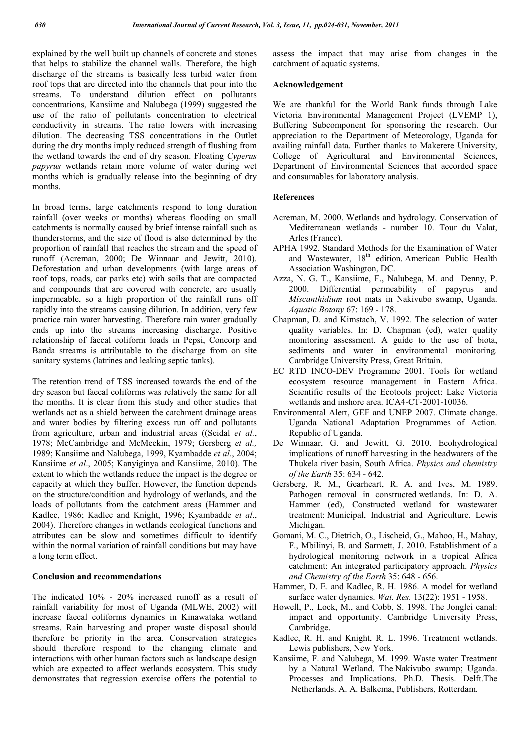explained by the well built up channels of concrete and stones that helps to stabilize the channel walls. Therefore, the high discharge of the streams is basically less turbid water from roof tops that are directed into the channels that pour into the streams. To understand dilution effect on pollutants concentrations, Kansiime and Nalubega (1999) suggested the use of the ratio of pollutants concentration to electrical conductivity in streams. The ratio lowers with increasing dilution. The decreasing TSS concentrations in the Outlet during the dry months imply reduced strength of flushing from the wetland towards the end of dry season. Floating *Cyperus papyrus* wetlands retain more volume of water during wet months which is gradually release into the beginning of dry months.

In broad terms, large catchments respond to long duration rainfall (over weeks or months) whereas flooding on small catchments is normally caused by brief intense rainfall such as thunderstorms, and the size of flood is also determined by the proportion of rainfall that reaches the stream and the speed of runoff (Acreman, 2000; De Winnaar and Jewitt, 2010). Deforestation and urban developments (with large areas of roof tops, roads, car parks etc) with soils that are compacted and compounds that are covered with concrete, are usually impermeable, so a high proportion of the rainfall runs off rapidly into the streams causing dilution. In addition, very few practice rain water harvesting. Therefore rain water gradually ends up into the streams increasing discharge. Positive relationship of faecal coliform loads in Pepsi, Concorp and Banda streams is attributable to the discharge from on site sanitary systems (latrines and leaking septic tanks).

The retention trend of TSS increased towards the end of the dry season but faecal coliforms was relatively the same for all the months. It is clear from this study and other studies that wetlands act as a shield between the catchment drainage areas and water bodies by filtering excess run off and pollutants from agriculture, urban and industrial areas ((Seidal *et al.*, 1978; McCambridge and McMeekin, 1979; Gersberg *et al.,* 1989; Kansiime and Nalubega, 1999, Kyambadde *et al*., 2004; Kansiime *et al*., 2005; Kanyiginya and Kansiime, 2010). The extent to which the wetlands reduce the impact is the degree or capacity at which they buffer. However, the function depends on the structure/condition and hydrology of wetlands, and the loads of pollutants from the catchment areas (Hammer and Kadlec, 1986; Kadlec and Knight, 1996; Kyambadde *et al*., 2004). Therefore changes in wetlands ecological functions and attributes can be slow and sometimes difficult to identify within the normal variation of rainfall conditions but may have a long term effect.

#### **Conclusion and recommendations**

The indicated 10% - 20% increased runoff as a result of rainfall variability for most of Uganda (MLWE, 2002) will increase faecal coliforms dynamics in Kinawataka wetland streams. Rain harvesting and proper waste disposal should therefore be priority in the area. Conservation strategies should therefore respond to the changing climate and interactions with other human factors such as landscape design which are expected to affect wetlands ecosystem. This study demonstrates that regression exercise offers the potential to assess the impact that may arise from changes in the catchment of aquatic systems.

### **Acknowledgement**

We are thankful for the World Bank funds through Lake Victoria Environmental Management Project (LVEMP 1), Buffering Subcomponent for sponsoring the research. Our appreciation to the Department of Meteorology, Uganda for availing rainfall data. Further thanks to Makerere University, College of Agricultural and Environmental Sciences, Department of Environmental Sciences that accorded space and consumables for laboratory analysis.

# **References**

- Acreman, M. 2000. Wetlands and hydrology. Conservation of Mediterranean wetlands - number 10. Tour du Valat, Arles (France).
- APHA 1992. Standard Methods for the Examination of Water and Wastewater, 18<sup>th</sup> edition. American Public Health Association Washington, DC.
- Azza, N. G. T., Kansiime, F., Nalubega, M. and Denny, P. 2000. Differential permeability of papyrus and *Miscanthidium* root mats in Nakivubo swamp, Uganda. *Aquatic Botany* 67: 169 - 178.
- Chapman, D. and Kimstach, V. 1992. The selection of water quality variables. In: D. Chapman (ed), water quality monitoring assessment. A guide to the use of biota, sediments and water in environmental monitoring*.* Cambridge University Press, Great Britain.
- EC RTD INCO-DEV Programme 2001. Tools for wetland ecosystem resource management in Eastern Africa. Scientific results of the Ecotools project: Lake Victoria wetlands and inshore area. ICA4-CT-2001-10036.
- Environmental Alert, GEF and UNEP 2007. Climate change. Uganda National Adaptation Programmes of Action*.* Republic of Uganda.
- De Winnaar, G. and Jewitt, G. 2010. Ecohydrological implications of runoff harvesting in the headwaters of the Thukela river basin, South Africa. *Physics and chemistry of the Earth* 35: 634 - 642.
- Gersberg, R. M., Gearheart, R. A. and Ives, M. 1989. Pathogen removal in constructed wetlands. In: D. A. Hammer (ed), Constructed wetland for wastewater treatment: Municipal, Industrial and Agriculture. Lewis Michigan.
- Gomani, M. C., Dietrich, O., Lischeid, G., Mahoo, H., Mahay, F., Mbilinyi, B. and Sarmett, J. 2010. Establishment of a hydrological monitoring network in a tropical Africa catchment: An integrated participatory approach. *Physics and Chemistry of the Earth* 35: 648 - 656.
- Hammer, D. E. and Kadlec, R. H. 1986. A model for wetland surface water dynamics. *Wat. Res.* 13(22): 1951 - 1958.
- Howell, P., Lock, M., and Cobb, S. 1998. The Jonglei canal: impact and opportunity. Cambridge University Press, Cambridge.
- Kadlec, R. H. and Knight, R. L. 1996. Treatment wetlands. Lewis publishers, New York.
- Kansiime, F. and Nalubega, M. 1999. Waste water Treatment by a Natural Wetland. The Nakivubo swamp; Uganda. Processes and Implications. Ph.D. Thesis. Delft.The Netherlands. A. A. Balkema, Publishers, Rotterdam.